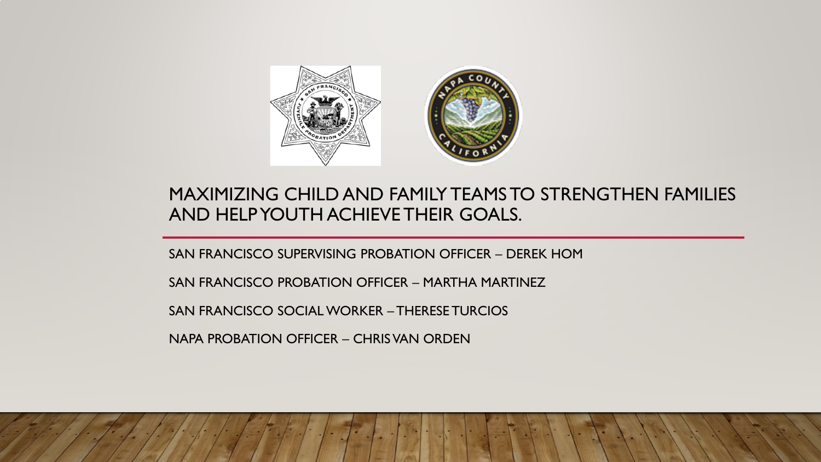

#### MAXIMIZING CHILD AND FAMILY TEAMS TO STRENGTHEN FAMILIES AND HELP YOUTH ACHIEVE THEIR GOALS.

SAN FRANCISCO SUPERVISING PROBATION OFFICER – DEREK HOM

SAN FRANCISCO PROBATION OFFICER – MARTHA MARTINEZ

SAN FRANCISCO SOCIAL WORKER – THERESE TURCIOS

NAPA PROBATION OFFICER – CHRIS VAN ORDEN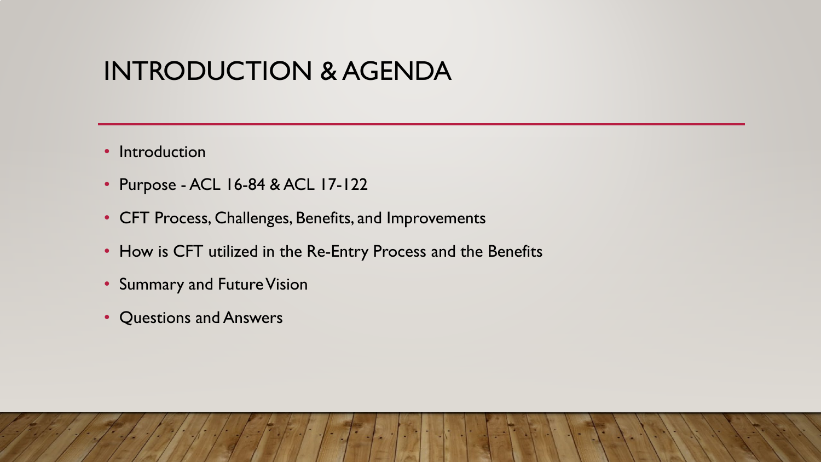# INTRODUCTION & AGENDA

- Introduction
- Purpose ACL 16-84 & ACL 17-122
- CFT Process, Challenges, Benefits, and Improvements
- How is CFT utilized in the Re-Entry Process and the Benefits
- Summary and Future Vision
- Questions and Answers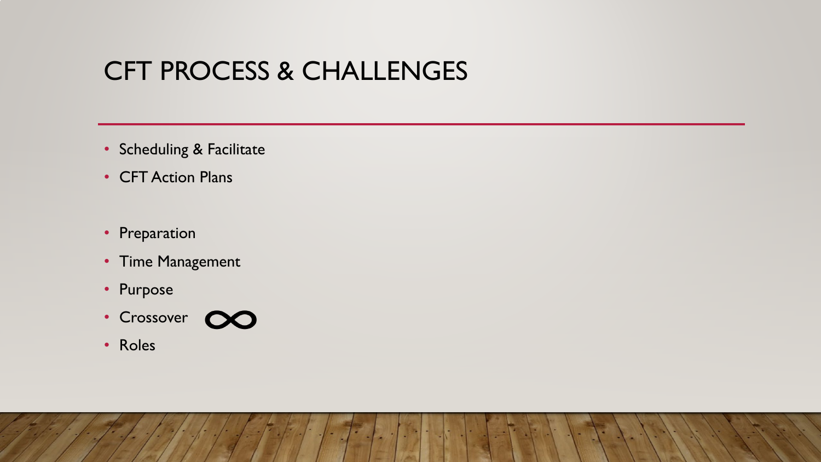# CFT PROCESS & CHALLENGES

- Scheduling & Facilitate
- CFT Action Plans
- Preparation
- Time Management
- Purpose
- Crossover CO



• Roles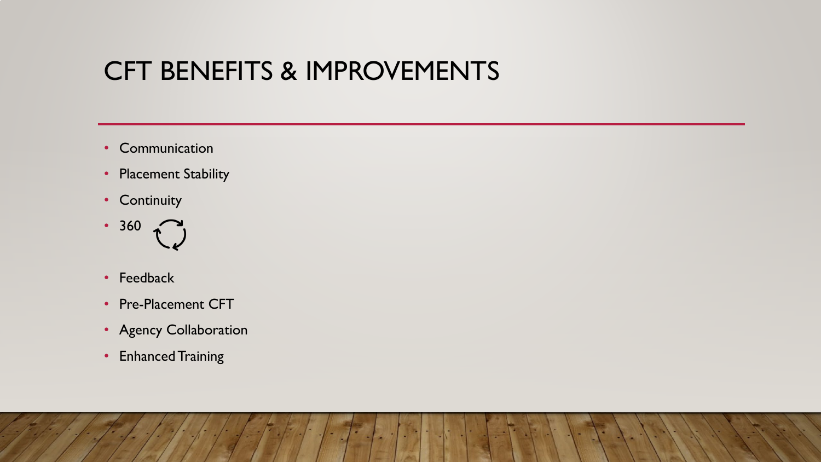# CFT BENEFITS & IMPROVEMENTS

- Communication
- Placement Stability
- Continuity



- Feedback
- Pre-Placement CFT
- Agency Collaboration
- Enhanced Training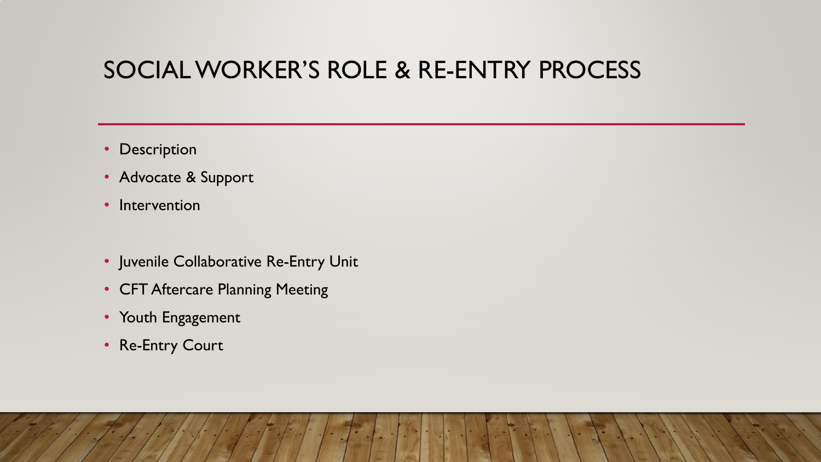### SOCIAL WORKER'S ROLE & RE-ENTRY PROCESS

- Description
- Advocate & Support
- Intervention
- Juvenile Collaborative Re-Entry Unit
- CFT Aftercare Planning Meeting
- Youth Engagement
- Re-Entry Court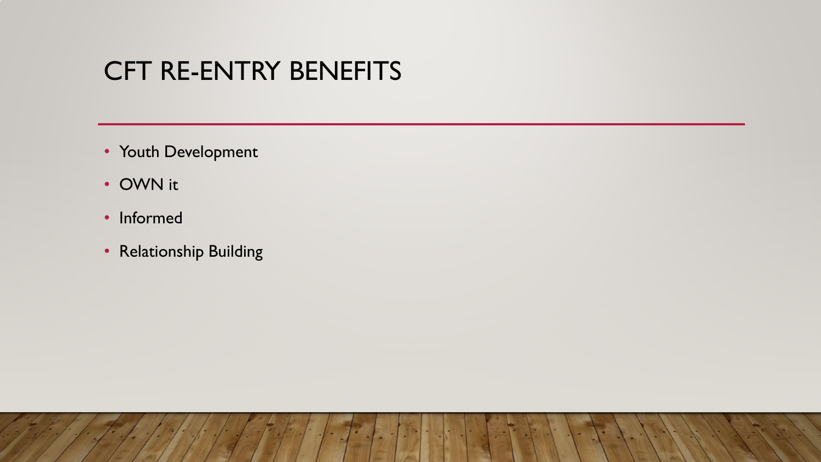# CFT RE-ENTRY BENEFITS

- Youth Development
- OWN it
- Informed
- Relationship Building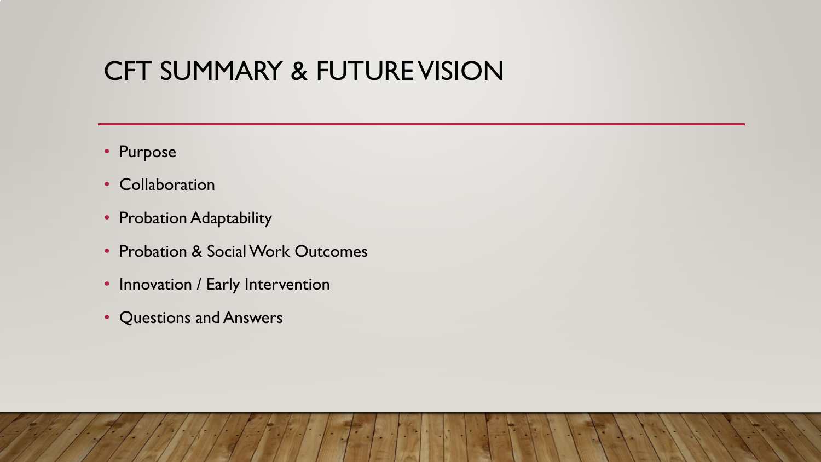# CFT SUMMARY & FUTURE VISION

- Purpose
- Collaboration
- Probation Adaptability
- Probation & Social Work Outcomes
- Innovation / Early Intervention
- Questions and Answers